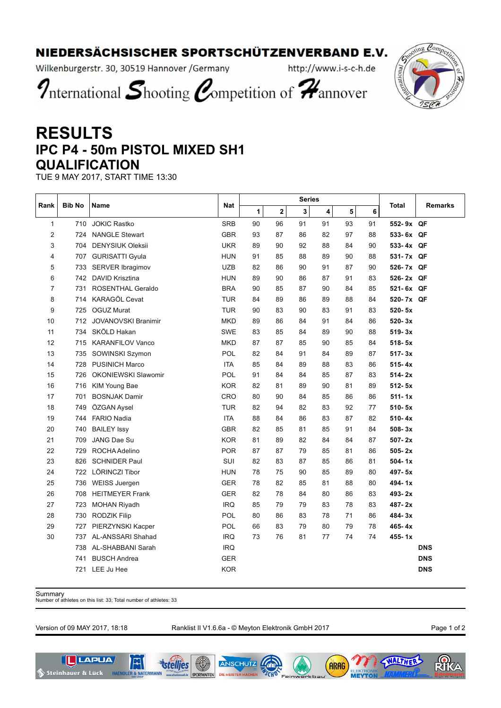## NIEDERSÄCHSISCHER SPORTSCHÜTZENVERBAND E.V.

Wilkenburgerstr. 30, 30519 Hannover / Germany

http://www.i-s-c-h.de



International Shooting Competition of Hannover

## **RESULTS IPC P4 - 50m PISTOL MIXED SH1 QUALIFICATION**

TUE 9 MAY 2017, START TIME 13:30

| Rank           | <b>Bib No</b> | Name                       | Nat        |    |    | <b>Series</b> | Total |    |    |            |            |
|----------------|---------------|----------------------------|------------|----|----|---------------|-------|----|----|------------|------------|
|                |               |                            |            | 1  | 2  | 3             | 4     | 5  | 6  |            | Remarks    |
| 1              | 710           | <b>JOKIC Rastko</b>        | <b>SRB</b> | 90 | 96 | 91            | 91    | 93 | 91 | 552-9x QF  |            |
| $\overline{2}$ | 724           | <b>NANGLE Stewart</b>      | <b>GBR</b> | 93 | 87 | 86            | 82    | 97 | 88 | 533-6x QF  |            |
| 3              | 704           | <b>DENYSIUK Oleksii</b>    | <b>UKR</b> | 89 | 90 | 92            | 88    | 84 | 90 | 533-4x QF  |            |
| 4              | 707           | <b>GURISATTI Gyula</b>     | <b>HUN</b> | 91 | 85 | 88            | 89    | 90 | 88 | 531-7x QF  |            |
| 5              | 733           | SERVER Ibragimov           | <b>UZB</b> | 82 | 86 | 90            | 91    | 87 | 90 | 526-7x QF  |            |
| 6              | 742           | DAVID Krisztina            | <b>HUN</b> | 89 | 90 | 86            | 87    | 91 | 83 | 526-2x QF  |            |
| 7              | 731           | ROSENTHAL Geraldo          | <b>BRA</b> | 90 | 85 | 87            | 90    | 84 | 85 | 521-6x QF  |            |
| 8              | 714           | KARAGÖL Cevat              | <b>TUR</b> | 84 | 89 | 86            | 89    | 88 | 84 | 520-7x QF  |            |
| 9              | 725           | <b>OGUZ Murat</b>          | <b>TUR</b> | 90 | 83 | 90            | 83    | 91 | 83 | 520-5x     |            |
| 10             | 712           | <b>JOVANOVSKI Branimir</b> | <b>MKD</b> | 89 | 86 | 84            | 91    | 84 | 86 | 520-3x     |            |
| 11             | 734           | SKÖLD Hakan                | <b>SWE</b> | 83 | 85 | 84            | 89    | 90 | 88 | $519 - 3x$ |            |
| 12             | 715           | <b>KARANFILOV Vanco</b>    | <b>MKD</b> | 87 | 87 | 85            | 90    | 85 | 84 | $518 - 5x$ |            |
| 13             | 735           | SOWINSKI Szymon            | POL        | 82 | 84 | 91            | 84    | 89 | 87 | $517 - 3x$ |            |
| 14             | 728           | <b>PUSINICH Marco</b>      | <b>ITA</b> | 85 | 84 | 89            | 88    | 83 | 86 | $515 - 4x$ |            |
| 15             | 726           | <b>OKONIEWSKI Slawomir</b> | POL        | 91 | 84 | 84            | 85    | 87 | 83 | $514 - 2x$ |            |
| 16             | 716           | KIM Young Bae              | <b>KOR</b> | 82 | 81 | 89            | 90    | 81 | 89 | $512 - 5x$ |            |
| 17             | 701           | <b>BOSNJAK Damir</b>       | CRO        | 80 | 90 | 84            | 85    | 86 | 86 | $511 - 1x$ |            |
| 18             | 749           | ÖZGAN Aysel                | TUR        | 82 | 94 | 82            | 83    | 92 | 77 | 510-5x     |            |
| 19             | 744           | <b>FARIO Nadia</b>         | <b>ITA</b> | 88 | 84 | 86            | 83    | 87 | 82 | $510 - 4x$ |            |
| 20             | 740           | <b>BAILEY Issy</b>         | <b>GBR</b> | 82 | 85 | 81            | 85    | 91 | 84 | $508 - 3x$ |            |
| 21             | 709           | JANG Dae Su                | <b>KOR</b> | 81 | 89 | 82            | 84    | 84 | 87 | $507 - 2x$ |            |
| 22             | 729           | ROCHA Adelino              | POR        | 87 | 87 | 79            | 85    | 81 | 86 | 505-2x     |            |
| 23             | 826           | <b>SCHNIDER Paul</b>       | SUI        | 82 | 83 | 87            | 85    | 86 | 81 | 504-1x     |            |
| 24             | 722           | LÖRINCZI Tibor             | <b>HUN</b> | 78 | 75 | 90            | 85    | 89 | 80 | 497-5x     |            |
| 25             | 736           | <b>WEISS Juergen</b>       | <b>GER</b> | 78 | 82 | 85            | 81    | 88 | 80 | 494-1x     |            |
| 26             | 708           | <b>HEITMEYER Frank</b>     | <b>GER</b> | 82 | 78 | 84            | 80    | 86 | 83 | 493-2x     |            |
| 27             | 723           | <b>MOHAN Riyadh</b>        | <b>IRQ</b> | 85 | 79 | 79            | 83    | 78 | 83 | 487-2x     |            |
| 28             | 730           | <b>RODZIK Filip</b>        | POL        | 80 | 86 | 83            | 78    | 71 | 86 | 484-3x     |            |
| 29             | 727           | PIERZYNSKI Kacper          | POL        | 66 | 83 | 79            | 80    | 79 | 78 | 465-4x     |            |
| 30             | 737           | AL-ANSSARI Shahad          | <b>IRQ</b> | 73 | 76 | 81            | 77    | 74 | 74 | 455-1x     |            |
|                | 738           | AL-SHABBANI Sarah          | <b>IRQ</b> |    |    |               |       |    |    |            | <b>DNS</b> |
|                | 741           | <b>BUSCH Andrea</b>        | <b>GER</b> |    |    |               |       |    |    |            | <b>DNS</b> |
|                | 721           | LEE Ju Hee                 | <b>KOR</b> |    |    |               |       |    |    |            | <b>DNS</b> |

Summary Number of athletes on this list: 33; Total number of athletes: 33

Version of 09 MAY 2017, 18:18 Ranklist II V1.6.6a - © Meyton Elektronik GmbH 2017 Page 1 of 2